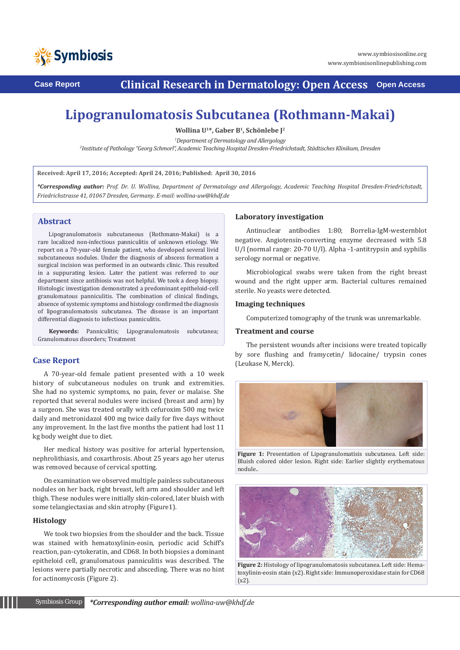

**Case Report Clinical Research in Dermatology: Open Access Open Access**

# **Lipogranulomatosis Subcutanea (Rothmann-Makai)**

**Wollina U1\*, Gaber B1, Schönlebe J2**

<sup>1</sup>Department of Dermatology and Allergology

*Department of Dermatology and Allergology 2 Institute of Pathology "Georg Schmorl", Academic Teaching Hospital Dresden-Friedrichstadt, Städtisches Klinikum, Dresden*

**Received: April 17, 2016; Accepted: April 24, 2016; Published: April 30, 2016**

*\*Corresponding author: Prof. Dr. U. Wollina, Department of Dermatology and Allergology, Academic Teaching Hospital Dresden-Friedrichstadt, Friedrichstrasse 41, 01067 Dresden, Germany. E-mail: wollina-uw@khdf.de*

## **Abstract**

Lipogranulomatosis subcutaneous (Rothmann-Makai) is a rare localized non-infectious panniculitis of unknown etiology. We report on a 70-year-old female patient, who developed several livid subcutaneous nodules. Under the diagnosis of abscess formation a surgical incision was performed in an outwards clinic. This resulted in a suppurating lesion. Later the patient was referred to our department since antibiosis was not helpful. We took a deep biopsy. Histologic investigation demonstrated a predominant epitheloid-cell granulomatous panniculitis. The combination of clinical findings, absence of systemic symptoms and histology confirmed the diagnosis of lipogranulomatosis subcutanea. The disease is an important differential diagnosis to infectious panniculitis.

**Keywords:** Panniculitis; Lipogranulomatosis subcutanea; Granulomatous disorders; Treatment

# **Case Report**

A 70-year-old female patient presented with a 10 week history of subcutaneous nodules on trunk and extremities. She had no systemic symptoms, no pain, fever or malaise. She reported that several nodules were incised (breast and arm) by a surgeon. She was treated orally with cefuroxim 500 mg twice daily and metronidazol 400 mg twice daily for five days without any improvement. In the last five months the patient had lost 11 kg body weight due to diet.

Her medical history was positive for arterial hypertension, nephrolithiasis, and coxarthrosis. About 25 years ago her uterus was removed because of cervical spotting.

On examination we observed multiple painless subcutaneous nodules on her back, right breast, left arm and shoulder and left thigh. These nodules were initially skin-colored, later bluish with some telangiectasias and skin atrophy (Figure1).

#### **Histology**

We took two biopsies from the shoulder and the back. Tissue was stained with hematoxylinin-eosin, periodic acid Schiff's reaction, pan-cytokeratin, and CD68. In both biopsies a dominant epitheloid cell, granulomatous panniculitis was described. The lesions were partially necrotic and absceding. There was no hint for actinomycosis (Figure 2).

### **Laboratory investigation**

Antinuclear antibodies 1:80; Borrelia-IgM-westernblot negative. Angiotensin-converting enzyme decreased with 5.8 U/l (normal range: 20-70 U/l). Alpha -1-antitrypsin and syphilis serology normal or negative.

Microbiological swabs were taken from the right breast wound and the right upper arm. Bacterial cultures remained sterile. No yeasts were detected.

#### **Imaging techniques**

Computerized tomography of the trunk was unremarkable.

#### **Treatment and course**

The persistent wounds after incisions were treated topically by sore flushing and framycetin/ lidocaine/ trypsin cones (Leukase N, Merck).



**Figure 1:** Presentation of Lipogranulomatisis subcutanea. Left side: Bluish colored older lesion. Right side: Earlier slightly erythematous nodule..



**Figure 2:** Histology of lipogranulomatosis subcutanea. Left side: Hematoxylinin-eosin stain (x2). Right side: Immunoperoxidase stain for CD68 (x2).